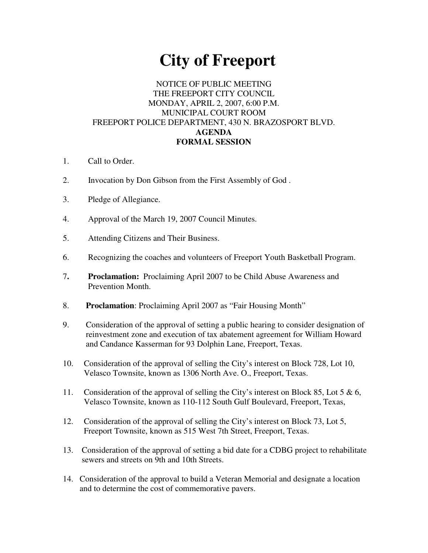## **City of Freeport**

## NOTICE OF PUBLIC MEETING THE FREEPORT CITY COUNCIL MONDAY, APRIL 2, 2007, 6:00 P.M. MUNICIPAL COURT ROOM FREEPORT POLICE DEPARTMENT, 430 N. BRAZOSPORT BLVD. **AGENDA FORMAL SESSION**

- 1. Call to Order.
- 2. Invocation by Don Gibson from the First Assembly of God .
- 3. Pledge of Allegiance.
- 4. Approval of the March 19, 2007 Council Minutes.
- 5. Attending Citizens and Their Business.
- 6. Recognizing the coaches and volunteers of Freeport Youth Basketball Program.
- 7**. Proclamation:** Proclaiming April 2007 to be Child Abuse Awareness and Prevention Month.
- 8. **Proclamation**: Proclaiming April 2007 as "Fair Housing Month"
- 9. Consideration of the approval of setting a public hearing to consider designation of reinvestment zone and execution of tax abatement agreement for William Howard and Candance Kasserman for 93 Dolphin Lane, Freeport, Texas.
- 10. Consideration of the approval of selling the City's interest on Block 728, Lot 10, Velasco Townsite, known as 1306 North Ave. O., Freeport, Texas.
- 11. Consideration of the approval of selling the City's interest on Block 85, Lot 5 & 6, Velasco Townsite, known as 110-112 South Gulf Boulevard, Freeport, Texas,
- 12. Consideration of the approval of selling the City's interest on Block 73, Lot 5, Freeport Townsite, known as 515 West 7th Street, Freeport, Texas.
- 13. Consideration of the approval of setting a bid date for a CDBG project to rehabilitate sewers and streets on 9th and 10th Streets.
- 14. Consideration of the approval to build a Veteran Memorial and designate a location and to determine the cost of commemorative pavers.